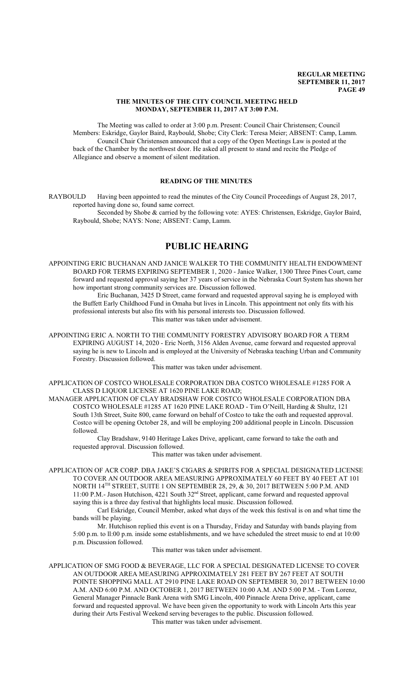#### **THE MINUTES OF THE CITY COUNCIL MEETING HELD MONDAY, SEPTEMBER 11, 2017 AT 3:00 P.M.**

The Meeting was called to order at 3:00 p.m. Present: Council Chair Christensen; Council Members: Eskridge, Gaylor Baird, Raybould, Shobe; City Clerk: Teresa Meier; ABSENT: Camp, Lamm. Council Chair Christensen announced that a copy of the Open Meetings Law is posted at the back of the Chamber by the northwest door. He asked all present to stand and recite the Pledge of Allegiance and observe a moment of silent meditation.

# **READING OF THE MINUTES**

RAYBOULD Having been appointed to read the minutes of the City Council Proceedings of August 28, 2017, reported having done so, found same correct. Seconded by Shobe & carried by the following vote: AYES: Christensen, Eskridge, Gaylor Baird, Raybould, Shobe; NAYS: None; ABSENT: Camp, Lamm.

# **PUBLIC HEARING**

APPOINTING ERIC BUCHANAN AND JANICE WALKER TO THE COMMUNITY HEALTH ENDOWMENT BOARD FOR TERMS EXPIRING SEPTEMBER 1, 2020 - Janice Walker, 1300 Three Pines Court, came forward and requested approval saying her 37 years of service in the Nebraska Court System has shown her how important strong community services are. Discussion followed.

Eric Buchanan, 3425 D Street, came forward and requested approval saying he is employed with the Buffett Early Childhood Fund in Omaha but lives in Lincoln. This appointment not only fits with his professional interests but also fits with his personal interests too. Discussion followed. This matter was taken under advisement.

APPOINTING ERIC A. NORTH TO THE COMMUNITY FORESTRY ADVISORY BOARD FOR A TERM EXPIRING AUGUST 14, 2020 - Eric North, 3156 Alden Avenue, came forward and requested approval saying he is new to Lincoln and is employed at the University of Nebraska teaching Urban and Community Forestry. Discussion followed.

This matter was taken under advisement.

APPLICATION OF COSTCO WHOLESALE CORPORATION DBA COSTCO WHOLESALE #1285 FOR A CLASS D LIQUOR LICENSE AT 1620 PINE LAKE ROAD;

MANAGER APPLICATION OF CLAY BRADSHAW FOR COSTCO WHOLESALE CORPORATION DBA COSTCO WHOLESALE #1285 AT 1620 PINE LAKE ROAD - Tim O'Neill, Harding & Shultz, 121 South 13th Street, Suite 800, came forward on behalf of Costco to take the oath and requested approval. Costco will be opening October 28, and will be employing 200 additional people in Lincoln. Discussion followed.

Clay Bradshaw, 9140 Heritage Lakes Drive, applicant, came forward to take the oath and requested approval. Discussion followed.

This matter was taken under advisement.

APPLICATION OF ACR CORP. DBA JAKE'S CIGARS & SPIRITS FOR A SPECIAL DESIGNATED LICENSE TO COVER AN OUTDOOR AREA MEASURING APPROXIMATELY 60 FEET BY 40 FEET AT 101 NORTH 14 TH STREET, SUITE 1 ON SEPTEMBER 28, 29, & 30, 2017 BETWEEN 5:00 P.M. AND 11:00 P.M.- Jason Hutchison, 4221 South 32<sup>nd</sup> Street, applicant, came forward and requested approval saying this is a three day festival that highlights local music. Discussion followed.

Carl Eskridge, Council Member, asked what days of the week this festival is on and what time the bands will be playing.

Mr. Hutchison replied this event is on a Thursday, Friday and Saturday with bands playing from 5:00 p.m. to ll:00 p.m. inside some establishments, and we have scheduled the street music to end at 10:00 p.m. Discussion followed.

This matter was taken under advisement.

APPLICATION OF SMG FOOD & BEVERAGE, LLC FOR A SPECIAL DESIGNATED LICENSE TO COVER AN OUTDOOR AREA MEASURING APPROXIMATELY 281 FEET BY 267 FEET AT SOUTH POINTE SHOPPING MALL AT 2910 PINE LAKE ROAD ON SEPTEMBER 30, 2017 BETWEEN 10:00 A.M. AND 6:00 P.M. AND OCTOBER 1, 2017 BETWEEN 10:00 A.M. AND 5:00 P.M. - Tom Lorenz, General Manager Pinnacle Bank Arena with SMG Lincoln, 400 Pinnacle Arena Drive, applicant, came forward and requested approval. We have been given the opportunity to work with Lincoln Arts this year during their Arts Festival Weekend serving beverages to the public. Discussion followed.

This matter was taken under advisement.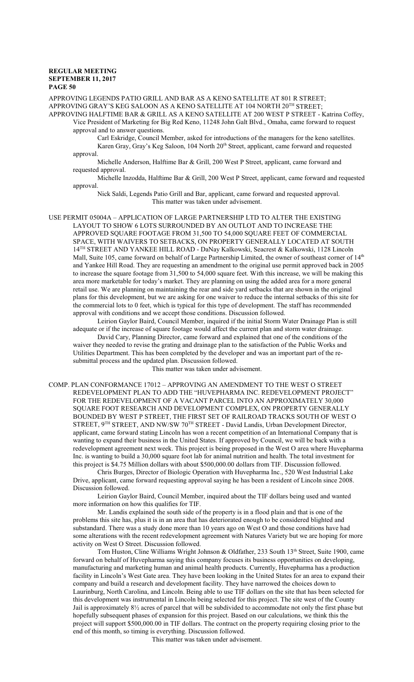APPROVING LEGENDS PATIO GRILL AND BAR AS A KENO SATELLITE AT 801 R STREET; APPROVING GRAY'S KEG SALOON AS A KENO SATELLITE AT 104 NORTH  $20^{\text{TH}}$  STREET; APPROVING HALFTIME BAR & GRILL AS A KENO SATELLITE AT 200 WEST P STREET - Katrina Coffey, Vice President of Marketing for Big Red Keno, 11248 John Galt Blvd., Omaha, came forward to request

approval and to answer questions.

Carl Eskridge, Council Member, asked for introductions of the managers for the keno satellites. Karen Gray, Gray's Keg Saloon, 104 North 20<sup>th</sup> Street, applicant, came forward and requested approval.

Michelle Anderson, Halftime Bar & Grill, 200 West P Street, applicant, came forward and requested approval.

Michelle Inzodda, Halftime Bar & Grill, 200 West P Street, applicant, came forward and requested approval.

Nick Saldi, Legends Patio Grill and Bar, applicant, came forward and requested approval. This matter was taken under advisement.

USE PERMIT 05004A – APPLICATION OF LARGE PARTNERSHIP LTD TO ALTER THE EXISTING LAYOUT TO SHOW 6 LOTS SURROUNDED BY AN OUTLOT AND TO INCREASE THE APPROVED SQUARE FOOTAGE FROM 31,500 TO 54,000 SQUARE FEET OF COMMERCIAL SPACE, WITH WAIVERS TO SETBACKS, ON PROPERTY GENERALLY LOCATED AT SOUTH 14<sup>TH</sup> STREET AND YANKEE HILL ROAD - DaNay Kalkowski, Seacrest & Kalkowski, 1128 Lincoln Mall, Suite 105, came forward on behalf of Large Partnership Limited, the owner of southeast corner of 14<sup>th</sup> and Yankee Hill Road. They are requesting an amendment to the original use permit approved back in 2005 to increase the square footage from 31,500 to 54,000 square feet. With this increase, we will be making this area more marketable for today's market. They are planning on using the added area for a more general retail use. We are planning on maintaining the rear and side yard setbacks that are shown in the original plans for this development, but we are asking for one waiver to reduce the internal setbacks of this site for the commercial lots to 0 feet, which is typical for this type of development. The staff has recommended approval with conditions and we accept those conditions. Discussion followed.

Leirion Gaylor Baird, Council Member, inquired if the initial Storm Water Drainage Plan is still adequate or if the increase of square footage would affect the current plan and storm water drainage.

David Cary, Planning Director, came forward and explained that one of the conditions of the waiver they needed to revise the grating and drainage plan to the satisfaction of the Public Works and Utilities Department. This has been completed by the developer and was an important part of the resubmittal process and the updated plan. Discussion followed.

This matter was taken under advisement.

COMP. PLAN CONFORMANCE 17012 – APPROVING AN AMENDMENT TO THE WEST O STREET REDEVELOPMENT PLAN TO ADD THE "HUVEPHARMA INC. REDEVELOPMENT PROJECT" FOR THE REDEVELOPMENT OF A VACANT PARCEL INTO AN APPROXIMATELY 30,000 SQUARE FOOT RESEARCH AND DEVELOPMENT COMPLEX, ON PROPERTY GENERALLY BOUNDED BY WEST P STREET, THE FIRST SET OF RAILROAD TRACKS SOUTH OF WEST O STREET, 9<sup>TH</sup> STREET, AND NW/SW 70<sup>TH</sup> STREET - David Landis, Urban Development Director, applicant, came forward stating Lincoln has won a recent competition of an International Company that is wanting to expand their business in the United States. If approved by Council, we will be back with a redevelopment agreement next week. This project is being proposed in the West O area where Huvepharma Inc. is wanting to build a 30,000 square foot lab for animal nutrition and health. The total investment for this project is \$4.75 Million dollars with about \$500,000.00 dollars from TIF. Discussion followed.

Chris Burges, Director of Biologic Operation with Huvepharma Inc., 520 West Industrial Lake Drive, applicant, came forward requesting approval saying he has been a resident of Lincoln since 2008. Discussion followed.

Leirion Gaylor Baird, Council Member, inquired about the TIF dollars being used and wanted more information on how this qualifies for TIF.

Mr. Landis explained the south side of the property is in a flood plain and that is one of the problems this site has, plus it is in an area that has deteriorated enough to be considered blighted and substandard. There was a study done more than 10 years ago on West O and those conditions have had some alterations with the recent redevelopment agreement with Natures Variety but we are hoping for more activity on West O Street. Discussion followed.

Tom Huston, Cline Williams Wright Johnson & Oldfather, 233 South 13th Street, Suite 1900, came forward on behalf of Huvepharma saying this company focuses its business opportunities on developing, manufacturing and marketing human and animal health products. Currently, Huvepharma has a production facility in Lincoln's West Gate area. They have been looking in the United States for an area to expand their company and build a research and development facility. They have narrowed the choices down to Laurinburg, North Carolina, and Lincoln. Being able to use TIF dollars on the site that has been selected for this development was instrumental in Lincoln being selected for this project. The site west of the County Jail is approximately 8½ acres of parcel that will be subdivided to accommodate not only the first phase but hopefully subsequent phases of expansion for this project. Based on our calculations, we think this the project will support \$500,000.00 in TIF dollars. The contract on the property requiring closing prior to the end of this month, so timing is everything. Discussion followed.

This matter was taken under advisement.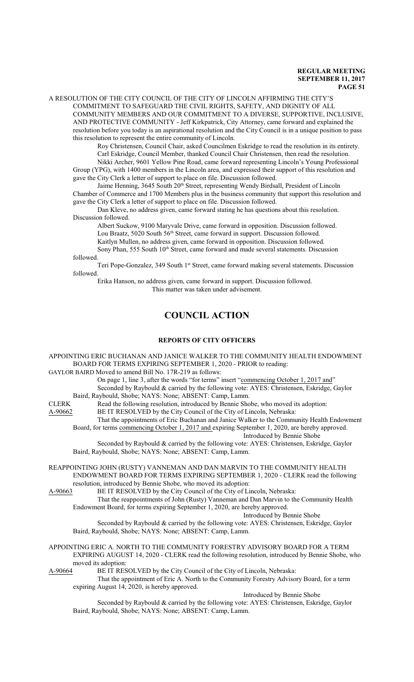A RESOLUTION OF THE CITY COUNCIL OF THE CITY OF LINCOLN AFFIRMING THE CITY'S COMMITMENT TO SAFEGUARD THE CIVIL RIGHTS, SAFETY, AND DIGNITY OF ALL COMMUNITY MEMBERS AND OUR COMMITMENT TO A DIVERSE, SUPPORTIVE, INCLUSIVE, AND PROTECTIVE COMMUNITY - Jeff Kirkpatrick, City Attorney, came forward and explained the resolution before you today is an aspirational resolution and the City Council is in a unique position to pass this resolution to represent the entire community of Lincoln.

Roy Christensen, Council Chair, asked Councilmen Eskridge to read the resolution in its entirety.

Carl Eskridge, Council Member, thanked Council Chair Christensen, then read the resolution. Nikki Archer, 9601 Yellow Pine Road, came forward representing Lincoln's Young Professional Group (YPG), with 1400 members in the Lincoln area, and expressed their support of this resolution and gave the City Clerk a letter of support to place on file. Discussion followed.

Jaime Henning, 3645 South 20<sup>th</sup> Street, representing Wendy Birdsall, President of Lincoln Chamber of Commerce and 1700 Members plus in the business community that support this resolution and gave the City Clerk a letter of support to place on file. Discussion followed.

Dan Kleve, no address given, came forward stating he has questions about this resolution. Discussion followed.

Albert Suckow, 9100 Maryvale Drive, came forward in opposition. Discussion followed. Lou Braatz, 5020 South 56<sup>th</sup> Street, came forward in support. Discussion followed.

Kaitlyn Mullen, no address given, came forward in opposition. Discussion followed. Sony Phan, 555 South 10<sup>th</sup> Street, came forward and made several statements. Discussion followed.

Teri Pope-Gonzalez, 349 South 1<sup>st</sup> Street, came forward making several statements. Discussion followed.

Erika Hanson, no address given, came forward in support. Discussion followed. This matter was taken under advisement.

# **COUNCIL ACTION**

# **REPORTS OF CITY OFFICERS**

APPOINTING ERIC BUCHANAN AND JANICE WALKER TO THE COMMUNITY HEALTH ENDOWMENT BOARD FOR TERMS EXPIRING SEPTEMBER 1, 2020 - PRIOR to reading:

# GAYLOR BAIRD Moved to amend Bill No. 17R-219 as follows:

On page 1, line 3, after the words "for terms" insert "commencing October 1, 2017 and" Seconded by Raybould & carried by the following vote: AYES: Christensen, Eskridge, Gaylor

Baird, Raybould, Shobe; NAYS: None; ABSENT: Camp, Lamm.

CLERK Read the following resolution, introduced by Bennie Shobe, who moved its adoption:

A-90662 BE IT RESOLVED by the City Council of the City of Lincoln, Nebraska:

That the appointments of Eric Buchanan and Janice Walker to the Community Health Endowment Board, for terms commencing October 1, 2017 and expiring September 1, 2020, are hereby approved. Introduced by Bennie Shobe

Seconded by Raybould & carried by the following vote: AYES: Christensen, Eskridge, Gaylor Baird, Raybould, Shobe; NAYS: None; ABSENT: Camp, Lamm.

REAPPOINTING JOHN (RUSTY) VANNEMAN AND DAN MARVIN TO THE COMMUNITY HEALTH ENDOWMENT BOARD FOR TERMS EXPIRING SEPTEMBER 1, 2020 - CLERK read the following resolution, introduced by Bennie Shobe, who moved its adoption:

A-90663 BE IT RESOLVED by the City Council of the City of Lincoln, Nebraska:

That the reappointments of John (Rusty) Vanneman and Dan Marvin to the Community Health Endowment Board, for terms expiring September 1, 2020, are hereby approved.

Introduced by Bennie Shobe

Seconded by Raybould & carried by the following vote: AYES: Christensen, Eskridge, Gaylor Baird, Raybould, Shobe; NAYS: None; ABSENT: Camp, Lamm.

APPOINTING ERIC A. NORTH TO THE COMMUNITY FORESTRY ADVISORY BOARD FOR A TERM EXPIRING AUGUST 14, 2020 - CLERK read the following resolution, introduced by Bennie Shobe, who moved its adoption:<br>A-90664 BE IT RES

BE IT RESOLVED by the City Council of the City of Lincoln, Nebraska:

That the appointment of Eric A. North to the Community Forestry Advisory Board, for a term expiring August 14, 2020, is hereby approved.

Introduced by Bennie Shobe

Seconded by Raybould & carried by the following vote: AYES: Christensen, Eskridge, Gaylor Baird, Raybould, Shobe; NAYS: None; ABSENT: Camp, Lamm.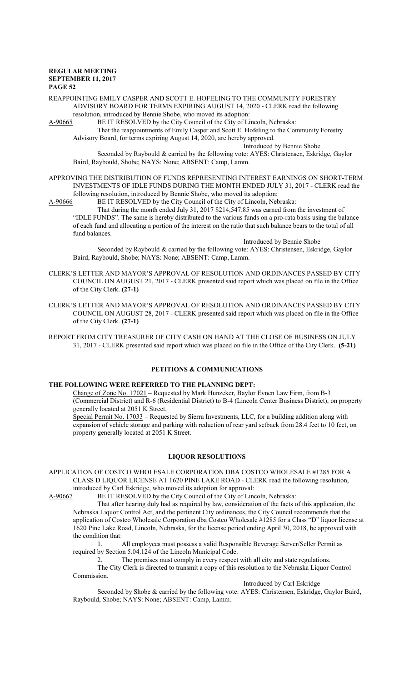# REAPPOINTING EMILY CASPER AND SCOTT E. HOFELING TO THE COMMUNITY FORESTRY ADVISORY BOARD FOR TERMS EXPIRING AUGUST 14, 2020 - CLERK read the following

resolution, introduced by Bennie Shobe, who moved its adoption:<br>A-90665 BE IT RESOLVED by the City Council of the City of Li BE IT RESOLVED by the City Council of the City of Lincoln, Nebraska:

That the reappointments of Emily Casper and Scott E. Hofeling to the Community Forestry Advisory Board, for terms expiring August 14, 2020, are hereby approved.

Introduced by Bennie Shobe

Seconded by Raybould & carried by the following vote: AYES: Christensen, Eskridge, Gaylor Baird, Raybould, Shobe; NAYS: None; ABSENT: Camp, Lamm.

- APPROVING THE DISTRIBUTION OF FUNDS REPRESENTING INTEREST EARNINGS ON SHORT-TERM INVESTMENTS OF IDLE FUNDS DURING THE MONTH ENDED JULY 31, 2017 - CLERK read the following resolution, introduced by Bennie Shobe, who moved its adoption:
- A-90666 BE IT RESOLVED by the City Council of the City of Lincoln, Nebraska:

That during the month ended July 31, 2017 \$214,547.85 was earned from the investment of "IDLE FUNDS". The same is hereby distributed to the various funds on a pro-rata basis using the balance of each fund and allocating a portion of the interest on the ratio that such balance bears to the total of all fund balances.

Introduced by Bennie Shobe

Seconded by Raybould & carried by the following vote: AYES: Christensen, Eskridge, Gaylor Baird, Raybould, Shobe; NAYS: None; ABSENT: Camp, Lamm.

- CLERK'S LETTER AND MAYOR'S APPROVAL OF RESOLUTION AND ORDINANCES PASSED BY CITY COUNCIL ON AUGUST 21, 2017 - CLERK presented said report which was placed on file in the Office of the City Clerk. **(27-1)**
- CLERK'S LETTER AND MAYOR'S APPROVAL OF RESOLUTION AND ORDINANCES PASSED BY CITY COUNCIL ON AUGUST 28, 2017 - CLERK presented said report which was placed on file in the Office of the City Clerk. **(27-1)**
- REPORT FROM CITY TREASURER OF CITY CASH ON HAND AT THE CLOSE OF BUSINESS ON JULY 31, 2017 - CLERK presented said report which was placed on file in the Office of the City Clerk. **(5-21)**

# **PETITIONS & COMMUNICATIONS**

# **THE FOLLOWING WERE REFERRED TO THE PLANNING DEPT:**

Change of Zone No. 17021 – Requested by Mark Hunzeker, Baylor Evnen Law Firm, from B-3 (Commercial District) and R-6 (Residential District) to B-4 (Lincoln Center Business District), on property generally located at 2051 K Street.

Special Permit No. 17033 – Requested by Sierra Investments, LLC, for a building addition along with expansion of vehicle storage and parking with reduction of rear yard setback from 28.4 feet to 10 feet, on property generally located at 2051 K Street.

# **LIQUOR RESOLUTIONS**

APPLICATION OF COSTCO WHOLESALE CORPORATION DBA COSTCO WHOLESALE #1285 FOR A CLASS D LIQUOR LICENSE AT 1620 PINE LAKE ROAD - CLERK read the following resolution, introduced by Carl Eskridge, who moved its adoption for approval:

A-90667 BE IT RESOLVED by the City Council of the City of Lincoln, Nebraska:

That after hearing duly had as required by law, consideration of the facts of this application, the Nebraska Liquor Control Act, and the pertinent City ordinances, the City Council recommends that the application of Costco Wholesale Corporation dba Costco Wholesale #1285 for a Class "D" liquor license at 1620 Pine Lake Road, Lincoln, Nebraska, for the license period ending April 30, 2018, be approved with the condition that:

1. All employees must possess a valid Responsible Beverage Server/Seller Permit as required by Section 5.04.124 of the Lincoln Municipal Code.

2. The premises must comply in every respect with all city and state regulations. The City Clerk is directed to transmit a copy of this resolution to the Nebraska Liquor Control Commission.

Introduced by Carl Eskridge

Seconded by Shobe & carried by the following vote: AYES: Christensen, Eskridge, Gaylor Baird, Raybould, Shobe; NAYS: None; ABSENT: Camp, Lamm.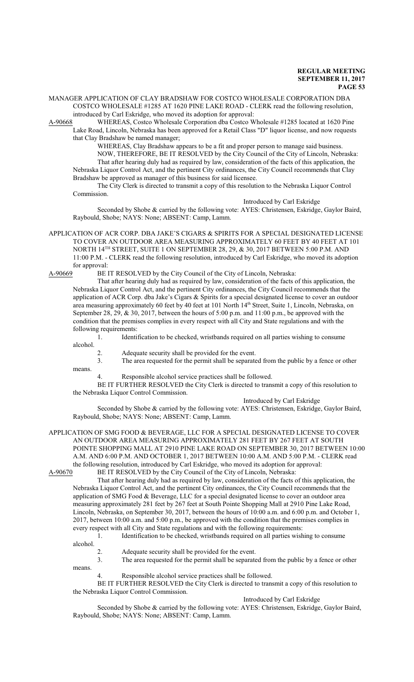MANAGER APPLICATION OF CLAY BRADSHAW FOR COSTCO WHOLESALE CORPORATION DBA COSTCO WHOLESALE #1285 AT 1620 PINE LAKE ROAD - CLERK read the following resolution, introduced by Carl Eskridge, who moved its adoption for approval:

A-90668 WHEREAS, Costco Wholesale Corporation dba Costco Wholesale #1285 located at 1620 Pine Lake Road, Lincoln, Nebraska has been approved for a Retail Class "D" liquor license, and now requests that Clay Bradshaw be named manager;

WHEREAS, Clay Bradshaw appears to be a fit and proper person to manage said business.

NOW, THEREFORE, BE IT RESOLVED by the City Council of the City of Lincoln, Nebraska: That after hearing duly had as required by law, consideration of the facts of this application, the Nebraska Liquor Control Act, and the pertinent City ordinances, the City Council recommends that Clay Bradshaw be approved as manager of this business for said licensee.

The City Clerk is directed to transmit a copy of this resolution to the Nebraska Liquor Control Commission.

Introduced by Carl Eskridge

Seconded by Shobe & carried by the following vote: AYES: Christensen, Eskridge, Gaylor Baird, Raybould, Shobe; NAYS: None; ABSENT: Camp, Lamm.

APPLICATION OF ACR CORP. DBA JAKE'S CIGARS & SPIRITS FOR A SPECIAL DESIGNATED LICENSE TO COVER AN OUTDOOR AREA MEASURING APPROXIMATELY 60 FEET BY 40 FEET AT 101 NORTH 14 TH STREET, SUITE 1 ON SEPTEMBER 28, 29, & 30, 2017 BETWEEN 5:00 P.M. AND 11:00 P.M. - CLERK read the following resolution, introduced by Carl Eskridge, who moved its adoption for approval:

A-90669 BE IT RESOLVED by the City Council of the City of Lincoln, Nebraska:

That after hearing duly had as required by law, consideration of the facts of this application, the Nebraska Liquor Control Act, and the pertinent City ordinances, the City Council recommends that the application of ACR Corp. dba Jake's Cigars & Spirits for a special designated license to cover an outdoor area measuring approximately 60 feet by 40 feet at 101 North 14<sup>th</sup> Street, Suite 1, Lincoln, Nebraska, on September 28, 29, & 30, 2017, between the hours of 5:00 p.m. and 11:00 p.m., be approved with the condition that the premises complies in every respect with all City and State regulations and with the following requirements:

1. Identification to be checked, wristbands required on all parties wishing to consume

alcohol.

means.

2. Adequate security shall be provided for the event.

3. The area requested for the permit shall be separated from the public by a fence or other

4. Responsible alcohol service practices shall be followed.

BE IT FURTHER RESOLVED the City Clerk is directed to transmit a copy of this resolution to the Nebraska Liquor Control Commission.

Introduced by Carl Eskridge

Seconded by Shobe & carried by the following vote: AYES: Christensen, Eskridge, Gaylor Baird, Raybould, Shobe; NAYS: None; ABSENT: Camp, Lamm.

APPLICATION OF SMG FOOD & BEVERAGE, LLC FOR A SPECIAL DESIGNATED LICENSE TO COVER AN OUTDOOR AREA MEASURING APPROXIMATELY 281 FEET BY 267 FEET AT SOUTH POINTE SHOPPING MALL AT 2910 PINE LAKE ROAD ON SEPTEMBER 30, 2017 BETWEEN 10:00 A.M. AND 6:00 P.M. AND OCTOBER 1, 2017 BETWEEN 10:00 A.M. AND 5:00 P.M. - CLERK read the following resolution, introduced by Carl Eskridge, who moved its adoption for approval: A-90670 BE IT RESOLVED by the City Council of the City of Lincoln, Nebraska:

That after hearing duly had as required by law, consideration of the facts of this application, the Nebraska Liquor Control Act, and the pertinent City ordinances, the City Council recommends that the application of SMG Food & Beverage, LLC for a special designated license to cover an outdoor area measuring approximately 281 feet by 267 feet at South Pointe Shopping Mall at 2910 Pine Lake Road, Lincoln, Nebraska, on September 30, 2017, between the hours of 10:00 a.m. and 6:00 p.m. and October 1, 2017, between 10:00 a.m. and 5:00 p.m., be approved with the condition that the premises complies in every respect with all City and State regulations and with the following requirements:

1. Identification to be checked, wristbands required on all parties wishing to consume

alcohol.

means.

2. Adequate security shall be provided for the event.

3. The area requested for the permit shall be separated from the public by a fence or other

Responsible alcohol service practices shall be followed.

BE IT FURTHER RESOLVED the City Clerk is directed to transmit a copy of this resolution to the Nebraska Liquor Control Commission.

Introduced by Carl Eskridge

Seconded by Shobe & carried by the following vote: AYES: Christensen, Eskridge, Gaylor Baird, Raybould, Shobe; NAYS: None; ABSENT: Camp, Lamm.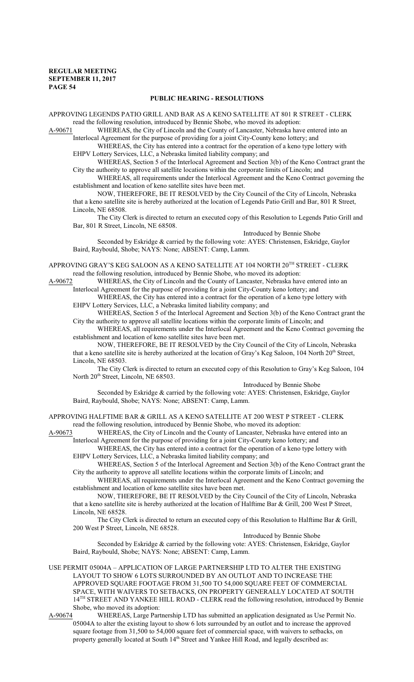## **PUBLIC HEARING - RESOLUTIONS**

APPROVING LEGENDS PATIO GRILL AND BAR AS A KENO SATELLITE AT 801 R STREET - CLERK read the following resolution, introduced by Bennie Shobe, who moved its adoption:

A-90671 WHEREAS, the City of Lincoln and the County of Lancaster, Nebraska have entered into an Interlocal Agreement for the purpose of providing for a joint City-County keno lottery; and

WHEREAS, the City has entered into a contract for the operation of a keno type lottery with EHPV Lottery Services, LLC, a Nebraska limited liability company; and

WHEREAS, Section 5 of the Interlocal Agreement and Section 3(b) of the Keno Contract grant the City the authority to approve all satellite locations within the corporate limits of Lincoln; and

WHEREAS, all requirements under the Interlocal Agreement and the Keno Contract governing the establishment and location of keno satellite sites have been met.

NOW, THEREFORE, BE IT RESOLVED by the City Council of the City of Lincoln, Nebraska that a keno satellite site is hereby authorized at the location of Legends Patio Grill and Bar, 801 R Street, Lincoln, NE 68508.

The City Clerk is directed to return an executed copy of this Resolution to Legends Patio Grill and Bar, 801 R Street, Lincoln, NE 68508.

Introduced by Bennie Shobe

Seconded by Eskridge & carried by the following vote: AYES: Christensen, Eskridge, Gaylor Baird, Raybould, Shobe; NAYS: None; ABSENT: Camp, Lamm.

APPROVING GRAY'S KEG SALOON AS A KENO SATELLITE AT 104 NORTH 20<sup>th</sup> STREET - CLERK read the following resolution, introduced by Bennie Shobe, who moved its adoption:

A-90672 WHEREAS, the City of Lincoln and the County of Lancaster, Nebraska have entered into an Interlocal Agreement for the purpose of providing for a joint City-County keno lottery; and

WHEREAS, the City has entered into a contract for the operation of a keno type lottery with EHPV Lottery Services, LLC, a Nebraska limited liability company; and

WHEREAS, Section 5 of the Interlocal Agreement and Section 3(b) of the Keno Contract grant the City the authority to approve all satellite locations within the corporate limits of Lincoln; and

WHEREAS, all requirements under the Interlocal Agreement and the Keno Contract governing the establishment and location of keno satellite sites have been met.

NOW, THEREFORE, BE IT RESOLVED by the City Council of the City of Lincoln, Nebraska that a keno satellite site is hereby authorized at the location of Gray's Keg Saloon, 104 North 20<sup>th</sup> Street, Lincoln, NE 68503.

The City Clerk is directed to return an executed copy of this Resolution to Gray's Keg Saloon, 104 North 20<sup>th</sup> Street, Lincoln, NE 68503.

Introduced by Bennie Shobe

Seconded by Eskridge & carried by the following vote: AYES: Christensen, Eskridge, Gaylor Baird, Raybould, Shobe; NAYS: None; ABSENT: Camp, Lamm.

APPROVING HALFTIME BAR & GRILL AS A KENO SATELLITE AT 200 WEST P STREET - CLERK read the following resolution, introduced by Bennie Shobe, who moved its adoption:

A-90673 WHEREAS, the City of Lincoln and the County of Lancaster, Nebraska have entered into an Interlocal Agreement for the purpose of providing for a joint City-County keno lottery; and

WHEREAS, the City has entered into a contract for the operation of a keno type lottery with EHPV Lottery Services, LLC, a Nebraska limited liability company; and

WHEREAS, Section 5 of the Interlocal Agreement and Section 3(b) of the Keno Contract grant the City the authority to approve all satellite locations within the corporate limits of Lincoln; and

WHEREAS, all requirements under the Interlocal Agreement and the Keno Contract governing the establishment and location of keno satellite sites have been met.

NOW, THEREFORE, BE IT RESOLVED by the City Council of the City of Lincoln, Nebraska that a keno satellite site is hereby authorized at the location of Halftime Bar & Grill, 200 West P Street, Lincoln, NE 68528.

The City Clerk is directed to return an executed copy of this Resolution to Halftime Bar & Grill, 200 West P Street, Lincoln, NE 68528.

Introduced by Bennie Shobe

Seconded by Eskridge & carried by the following vote: AYES: Christensen, Eskridge, Gaylor Baird, Raybould, Shobe; NAYS: None; ABSENT: Camp, Lamm.

USE PERMIT 05004A – APPLICATION OF LARGE PARTNERSHIP LTD TO ALTER THE EXISTING LAYOUT TO SHOW 6 LOTS SURROUNDED BY AN OUTLOT AND TO INCREASE THE APPROVED SQUARE FOOTAGE FROM 31,500 TO 54,000 SQUARE FEET OF COMMERCIAL SPACE, WITH WAIVERS TO SETBACKS, ON PROPERTY GENERALLY LOCATED AT SOUTH 14<sup>TH</sup> STREET AND YANKEE HILL ROAD - CLERK read the following resolution, introduced by Bennie Shobe, who moved its adoption:

A-90674 WHEREAS, Large Partnership LTD has submitted an application designated as Use Permit No. 05004A to alter the existing layout to show 6 lots surrounded by an outlot and to increase the approved square footage from 31,500 to 54,000 square feet of commercial space, with waivers to setbacks, on property generally located at South 14<sup>th</sup> Street and Yankee Hill Road, and legally described as: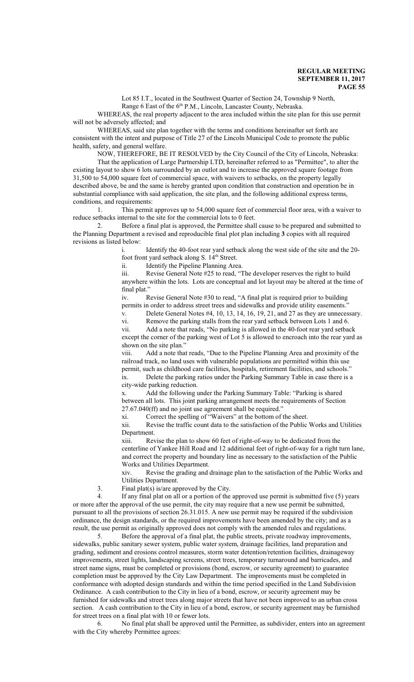Lot 85 I.T., located in the Southwest Quarter of Section 24, Township 9 North, Range 6 East of the 6<sup>th</sup> P.M., Lincoln, Lancaster County, Nebraska.

WHEREAS, the real property adjacent to the area included within the site plan for this use permit will not be adversely affected; and

WHEREAS, said site plan together with the terms and conditions hereinafter set forth are consistent with the intent and purpose of Title 27 of the Lincoln Municipal Code to promote the public health, safety, and general welfare.

NOW, THEREFORE, BE IT RESOLVED by the City Council of the City of Lincoln, Nebraska: That the application of Large Partnership LTD, hereinafter referred to as "Permittee", to alter the existing layout to show 6 lots surrounded by an outlot and to increase the approved square footage from 31,500 to 54,000 square feet of commercial space, with waivers to setbacks, on the property legally described above, be and the same is hereby granted upon condition that construction and operation be in substantial compliance with said application, the site plan, and the following additional express terms, conditions, and requirements:

1. This permit approves up to 54,000 square feet of commercial floor area, with a waiver to reduce setbacks internal to the site for the commercial lots to 0 feet.

2. Before a final plat is approved, the Permittee shall cause to be prepared and submitted to the Planning Department a revised and reproducible final plot plan including **3** copies with all required revisions as listed below:

> i. Identify the 40-foot rear yard setback along the west side of the site and the 20 foot front yard setback along S. 14<sup>th</sup> Street.

ii. Identify the Pipeline Planning Area.

iii. Revise General Note #25 to read, "The developer reserves the right to build anywhere within the lots. Lots are conceptual and lot layout may be altered at the time of final plat."

iv. Revise General Note #30 to read, "A final plat is required prior to building permits in order to address street trees and sidewalks and provide utility easements.<sup>"</sup>

v. Delete General Notes #4, 10, 13, 14, 16, 19, 21, and 27 as they are unnecessary.

vi. Remove the parking stalls from the rear yard setback between Lots 1 and 6.

vii. Add a note that reads, "No parking is allowed in the 40-foot rear yard setback except the corner of the parking west of Lot 5 is allowed to encroach into the rear yard as shown on the site plan."

viii. Add a note that reads, "Due to the Pipeline Planning Area and proximity of the railroad track, no land uses with vulnerable populations are permitted within this use permit, such as childhood care facilities, hospitals, retirement facilities, and schools." ix. Delete the parking ratios under the Parking Summary Table in case there is a city-wide parking reduction.

x. Add the following under the Parking Summary Table: "Parking is shared between all lots. This joint parking arrangement meets the requirements of Section 27.67.040(ff) and no joint use agreement shall be required."

xi. Correct the spelling of "Waivers" at the bottom of the sheet.<br>xii. Revise the traffic count data to the satisfaction of the Public Revise the traffic count data to the satisfaction of the Public Works and Utilities Department.

xiii. Revise the plan to show 60 feet of right-of-way to be dedicated from the centerline of Yankee Hill Road and 12 additional feet of right-of-way for a right turn lane, and correct the property and boundary line as necessary to the satisfaction of the Public Works and Utilities Department.

xiv. Revise the grading and drainage plan to the satisfaction of the Public Works and Utilities Department.

3. Final plat(s) is/are approved by the City.

4. If any final plat on all or a portion of the approved use permit is submitted five (5) years or more after the approval of the use permit, the city may require that a new use permit be submitted, pursuant to all the provisions of section 26.31.015. A new use permit may be required if the subdivision ordinance, the design standards, or the required improvements have been amended by the city; and as a result, the use permit as originally approved does not comply with the amended rules and regulations.

5. Before the approval of a final plat, the public streets, private roadway improvements, sidewalks, public sanitary sewer system, public water system, drainage facilities, land preparation and grading, sediment and erosions control measures, storm water detention/retention facilities, drainageway improvements, street lights, landscaping screens, street trees, temporary turnaround and barricades, and street name signs, must be completed or provisions (bond, escrow, or security agreement) to guarantee completion must be approved by the City Law Department. The improvements must be completed in conformance with adopted design standards and within the time period specified in the Land Subdivision Ordinance. A cash contribution to the City in lieu of a bond, escrow, or security agreement may be furnished for sidewalks and street trees along major streets that have not been improved to an urban cross section. A cash contribution to the City in lieu of a bond, escrow, or security agreement may be furnished for street trees on a final plat with 10 or fewer lots.

6. No final plat shall be approved until the Permittee, as subdivider, enters into an agreement with the City whereby Permittee agrees: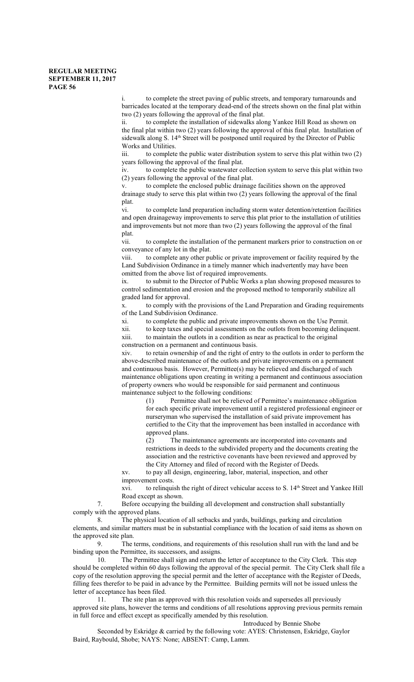i. to complete the street paving of public streets, and temporary turnarounds and barricades located at the temporary dead-end of the streets shown on the final plat within two (2) years following the approval of the final plat.

ii. to complete the installation of sidewalks along Yankee Hill Road as shown on the final plat within two (2) years following the approval of this final plat. Installation of sidewalk along S. 14<sup>th</sup> Street will be postponed until required by the Director of Public Works and Utilities.

iii. to complete the public water distribution system to serve this plat within two (2) years following the approval of the final plat.

iv. to complete the public wastewater collection system to serve this plat within two (2) years following the approval of the final plat.

v. to complete the enclosed public drainage facilities shown on the approved drainage study to serve this plat within two (2) years following the approval of the final plat.

vi. to complete land preparation including storm water detention/retention facilities and open drainageway improvements to serve this plat prior to the installation of utilities and improvements but not more than two (2) years following the approval of the final plat.

vii. to complete the installation of the permanent markers prior to construction on or conveyance of any lot in the plat.

viii. to complete any other public or private improvement or facility required by the Land Subdivision Ordinance in a timely manner which inadvertently may have been omitted from the above list of required improvements.

ix. to submit to the Director of Public Works a plan showing proposed measures to control sedimentation and erosion and the proposed method to temporarily stabilize all graded land for approval.

x. to comply with the provisions of the Land Preparation and Grading requirements of the Land Subdivision Ordinance.

xi. to complete the public and private improvements shown on the Use Permit.

xii. to keep taxes and special assessments on the outlots from becoming delinquent. to maintain the outlots in a condition as near as practical to the original

construction on a permanent and continuous basis.

xiv. to retain ownership of and the right of entry to the outlots in order to perform the above-described maintenance of the outlots and private improvements on a permanent and continuous basis. However, Permittee(s) may be relieved and discharged of such maintenance obligations upon creating in writing a permanent and continuous association of property owners who would be responsible for said permanent and continuous maintenance subject to the following conditions:

(1) Permittee shall not be relieved of Permittee's maintenance obligation for each specific private improvement until a registered professional engineer or nurseryman who supervised the installation of said private improvement has certified to the City that the improvement has been installed in accordance with approved plans.

(2) The maintenance agreements are incorporated into covenants and restrictions in deeds to the subdivided property and the documents creating the association and the restrictive covenants have been reviewed and approved by the City Attorney and filed of record with the Register of Deeds.

xv. to pay all design, engineering, labor, material, inspection, and other improvement costs.

xvi. to relinquish the right of direct vehicular access to S. 14<sup>th</sup> Street and Yankee Hill Road except as shown.

7. Before occupying the building all development and construction shall substantially comply with the approved plans.<br>8. The physical loss

The physical location of all setbacks and yards, buildings, parking and circulation elements, and similar matters must be in substantial compliance with the location of said items as shown on the approved site plan.<br>9. The

The terms, conditions, and requirements of this resolution shall run with the land and be binding upon the Permittee, its successors, and assigns.

10. The Permittee shall sign and return the letter of acceptance to the City Clerk. This step should be completed within 60 days following the approval of the special permit. The City Clerk shall file a copy of the resolution approving the special permit and the letter of acceptance with the Register of Deeds, filling fees therefor to be paid in advance by the Permittee. Building permits will not be issued unless the letter of acceptance has been filed.

11. The site plan as approved with this resolution voids and supersedes all previously approved site plans, however the terms and conditions of all resolutions approving previous permits remain in full force and effect except as specifically amended by this resolution.

Introduced by Bennie Shobe

Seconded by Eskridge & carried by the following vote: AYES: Christensen, Eskridge, Gaylor Baird, Raybould, Shobe; NAYS: None; ABSENT: Camp, Lamm.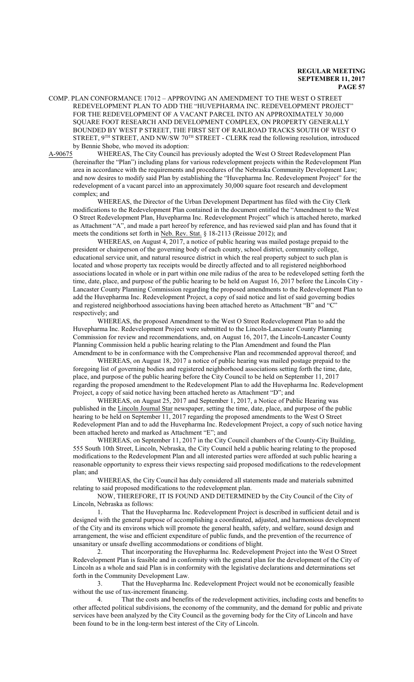COMP. PLAN CONFORMANCE 17012 – APPROVING AN AMENDMENT TO THE WEST O STREET REDEVELOPMENT PLAN TO ADD THE "HUVEPHARMA INC. REDEVELOPMENT PROJECT" FOR THE REDEVELOPMENT OF A VACANT PARCEL INTO AN APPROXIMATELY 30,000 SQUARE FOOT RESEARCH AND DEVELOPMENT COMPLEX, ON PROPERTY GENERALLY BOUNDED BY WEST P STREET, THE FIRST SET OF RAILROAD TRACKS SOUTH OF WEST O STREET,  $9^{TH}$  STREET, AND NW/SW  $70^{TH}$  STREET - CLERK read the following resolution, introduced by Bennie Shobe, who moved its adoption:

A-90675 WHEREAS, The City Council has previously adopted the West O Street Redevelopment Plan (hereinafter the "Plan") including plans for various redevelopment projects within the Redevelopment Plan area in accordance with the requirements and procedures of the Nebraska Community Development Law; and now desires to modify said Plan by establishing the "Huvepharma Inc. Redevelopment Project" for the redevelopment of a vacant parcel into an approximately 30,000 square foot research and development complex; and

WHEREAS, the Director of the Urban Development Department has filed with the City Clerk modifications to the Redevelopment Plan contained in the document entitled the "Amendment to the West O Street Redevelopment Plan, Huvepharma Inc. Redevelopment Project" which is attached hereto, marked as Attachment "A", and made a part hereof by reference, and has reviewed said plan and has found that it meets the conditions set forth in Neb. Rev. Stat. § 18-2113 (Reissue 2012); and

WHEREAS, on August 4, 2017, a notice of public hearing was mailed postage prepaid to the president or chairperson of the governing body of each county, school district, community college, educational service unit, and natural resource district in which the real property subject to such plan is located and whose property tax receipts would be directly affected and to all registered neighborhood associations located in whole or in part within one mile radius of the area to be redeveloped setting forth the time, date, place, and purpose of the public hearing to be held on August 16, 2017 before the Lincoln City - Lancaster County Planning Commission regarding the proposed amendments to the Redevelopment Plan to add the Huvepharma Inc. Redevelopment Project, a copy of said notice and list of said governing bodies and registered neighborhood associations having been attached hereto as Attachment "B" and "C" respectively; and

WHEREAS, the proposed Amendment to the West O Street Redevelopment Plan to add the Huvepharma Inc. Redevelopment Project were submitted to the Lincoln-Lancaster County Planning Commission for review and recommendations, and, on August 16, 2017, the Lincoln-Lancaster County Planning Commission held a public hearing relating to the Plan Amendment and found the Plan Amendment to be in conformance with the Comprehensive Plan and recommended approval thereof; and

WHEREAS, on August 18, 2017 a notice of public hearing was mailed postage prepaid to the foregoing list of governing bodies and registered neighborhood associations setting forth the time, date, place, and purpose of the public hearing before the City Council to be held on September 11, 2017 regarding the proposed amendment to the Redevelopment Plan to add the Huvepharma Inc. Redevelopment Project, a copy of said notice having been attached hereto as Attachment "D"; and

WHEREAS, on August 25, 2017 and September 1, 2017, a Notice of Public Hearing was published in the Lincoln Journal Star newspaper, setting the time, date, place, and purpose of the public hearing to be held on September 11, 2017 regarding the proposed amendments to the West O Street Redevelopment Plan and to add the Huvepharma Inc. Redevelopment Project, a copy of such notice having been attached hereto and marked as Attachment "E"; and

WHEREAS, on September 11, 2017 in the City Council chambers of the County-City Building, 555 South 10th Street, Lincoln, Nebraska, the City Council held a public hearing relating to the proposed modifications to the Redevelopment Plan and all interested parties were afforded at such public hearing a reasonable opportunity to express their views respecting said proposed modifications to the redevelopment plan; and

WHEREAS, the City Council has duly considered all statements made and materials submitted relating to said proposed modifications to the redevelopment plan.

NOW, THEREFORE, IT IS FOUND AND DETERMINED by the City Council of the City of Lincoln, Nebraska as follows:

1. That the Huvepharma Inc. Redevelopment Project is described in sufficient detail and is designed with the general purpose of accomplishing a coordinated, adjusted, and harmonious development of the City and its environs which will promote the general health, safety, and welfare, sound design and arrangement, the wise and efficient expenditure of public funds, and the prevention of the recurrence of unsanitary or unsafe dwelling accommodations or conditions of blight.

2. That incorporating the Huvepharma Inc. Redevelopment Project into the West O Street Redevelopment Plan is feasible and in conformity with the general plan for the development of the City of Lincoln as a whole and said Plan is in conformity with the legislative declarations and determinations set forth in the Community Development Law.

3. That the Huvepharma Inc. Redevelopment Project would not be economically feasible without the use of tax-increment financing.

4. That the costs and benefits of the redevelopment activities, including costs and benefits to other affected political subdivisions, the economy of the community, and the demand for public and private services have been analyzed by the City Council as the governing body for the City of Lincoln and have been found to be in the long-term best interest of the City of Lincoln.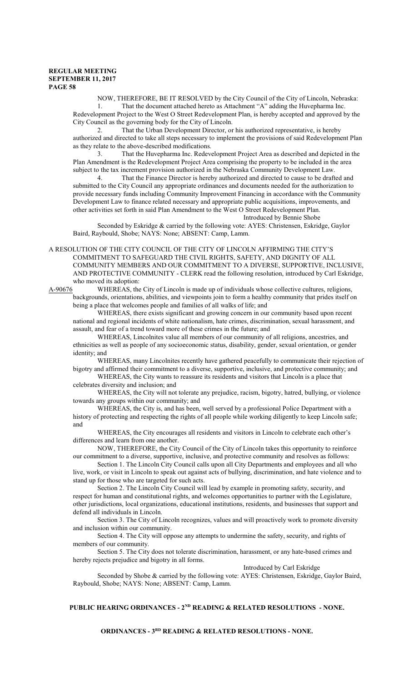NOW, THEREFORE, BE IT RESOLVED by the City Council of the City of Lincoln, Nebraska: 1. That the document attached hereto as Attachment "A" adding the Huvepharma Inc.

Redevelopment Project to the West O Street Redevelopment Plan, is hereby accepted and approved by the City Council as the governing body for the City of Lincoln.

2. That the Urban Development Director, or his authorized representative, is hereby authorized and directed to take all steps necessary to implement the provisions of said Redevelopment Plan as they relate to the above-described modifications.

3. That the Huvepharma Inc. Redevelopment Project Area as described and depicted in the Plan Amendment is the Redevelopment Project Area comprising the property to be included in the area subject to the tax increment provision authorized in the Nebraska Community Development Law.<br>4 That the Einance Director is hereby authorized and directed to cause to be draft

That the Finance Director is hereby authorized and directed to cause to be drafted and submitted to the City Council any appropriate ordinances and documents needed for the authorization to provide necessary funds including Community Improvement Financing in accordance with the Community Development Law to finance related necessary and appropriate public acquisitions, improvements, and other activities set forth in said Plan Amendment to the West O Street Redevelopment Plan.

Introduced by Bennie Shobe

Seconded by Eskridge & carried by the following vote: AYES: Christensen, Eskridge, Gaylor Baird, Raybould, Shobe; NAYS: None; ABSENT: Camp, Lamm.

A RESOLUTION OF THE CITY COUNCIL OF THE CITY OF LINCOLN AFFIRMING THE CITY'S COMMITMENT TO SAFEGUARD THE CIVIL RIGHTS, SAFETY, AND DIGNITY OF ALL COMMUNITY MEMBERS AND OUR COMMITMENT TO A DIVERSE, SUPPORTIVE, INCLUSIVE, AND PROTECTIVE COMMUNITY - CLERK read the following resolution, introduced by Carl Eskridge, who moved its adoption:<br>A-90676 WHEREAS, the

WHEREAS, the City of Lincoln is made up of individuals whose collective cultures, religions, backgrounds, orientations, abilities, and viewpoints join to form a healthy community that prides itself on being a place that welcomes people and families of all walks of life; and

WHEREAS, there exists significant and growing concern in our community based upon recent national and regional incidents of white nationalism, hate crimes, discrimination, sexual harassment, and assault, and fear of a trend toward more of these crimes in the future; and

WHEREAS, Lincolnites value all members of our community of all religions, ancestries, and ethnicities as well as people of any socioeconomic status, disability, gender, sexual orientation, or gender identity; and

WHEREAS, many Lincolnites recently have gathered peacefully to communicate their rejection of bigotry and affirmed their commitment to a diverse, supportive, inclusive, and protective community; and

WHEREAS, the City wants to reassure its residents and visitors that Lincoln is a place that celebrates diversity and inclusion; and

WHEREAS, the City will not tolerate any prejudice, racism, bigotry, hatred, bullying, or violence towards any groups within our community; and

WHEREAS, the City is, and has been, well served by a professional Police Department with a history of protecting and respecting the rights of all people while working diligently to keep Lincoln safe; and

WHEREAS, the City encourages all residents and visitors in Lincoln to celebrate each other's differences and learn from one another.

NOW, THEREFORE, the City Council of the City of Lincoln takes this opportunity to reinforce our commitment to a diverse, supportive, inclusive, and protective community and resolves as follows:

Section 1. The Lincoln City Council calls upon all City Departments and employees and all who live, work, or visit in Lincoln to speak out against acts of bullying, discrimination, and hate violence and to stand up for those who are targeted for such acts.

Section 2. The Lincoln City Council will lead by example in promoting safety, security, and respect for human and constitutional rights, and welcomes opportunities to partner with the Legislature, other jurisdictions, local organizations, educational institutions, residents, and businesses that support and defend all individuals in Lincoln.

Section 3. The City of Lincoln recognizes, values and will proactively work to promote diversity and inclusion within our community.

Section 4. The City will oppose any attempts to undermine the safety, security, and rights of members of our community.

Section 5. The City does not tolerate discrimination, harassment, or any hate-based crimes and hereby rejects prejudice and bigotry in all forms.

#### Introduced by Carl Eskridge

Seconded by Shobe & carried by the following vote: AYES: Christensen, Eskridge, Gaylor Baird, Raybould, Shobe; NAYS: None; ABSENT: Camp, Lamm.

# **PUBLIC HEARING ORDINANCES - 2ND READING & RELATED RESOLUTIONS - NONE.**

**ORDINANCES - 3RD READING & RELATED RESOLUTIONS - NONE.**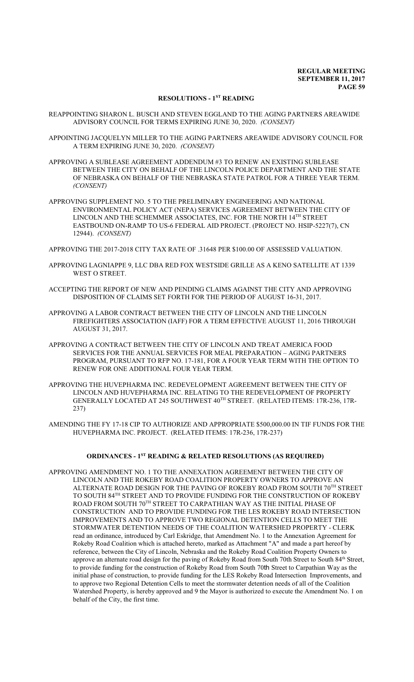# **RESOLUTIONS - 1ST READING**

- REAPPOINTING SHARON L. BUSCH AND STEVEN EGGLAND TO THE AGING PARTNERS AREAWIDE ADVISORY COUNCIL FOR TERMS EXPIRING JUNE 30, 2020. *(CONSENT)*
- APPOINTING JACQUELYN MILLER TO THE AGING PARTNERS AREAWIDE ADVISORY COUNCIL FOR A TERM EXPIRING JUNE 30, 2020. *(CONSENT)*
- APPROVING A SUBLEASE AGREEMENT ADDENDUM #3 TO RENEW AN EXISTING SUBLEASE BETWEEN THE CITY ON BEHALF OF THE LINCOLN POLICE DEPARTMENT AND THE STATE OF NEBRASKA ON BEHALF OF THE NEBRASKA STATE PATROL FOR A THREE YEAR TERM. *(CONSENT)*
- APPROVING SUPPLEMENT NO. 5 TO THE PRELIMINARY ENGINEERING AND NATIONAL ENVIRONMENTAL POLICY ACT (NEPA) SERVICES AGREEMENT BETWEEN THE CITY OF LINCOLN AND THE SCHEMMER ASSOCIATES, INC. FOR THE NORTH  $14^{\rm TH}$  STREET EASTBOUND ON-RAMP TO US-6 FEDERAL AID PROJECT. (PROJECT NO. HSIP-5227(7), CN 12944). *(CONSENT)*

APPROVING THE 2017-2018 CITY TAX RATE OF .31648 PER \$100.00 OF ASSESSED VALUATION.

- APPROVING LAGNIAPPE 9, LLC DBA RED FOX WESTSIDE GRILLE AS A KENO SATELLITE AT 1339 WEST O STREET.
- ACCEPTING THE REPORT OF NEW AND PENDING CLAIMS AGAINST THE CITY AND APPROVING DISPOSITION OF CLAIMS SET FORTH FOR THE PERIOD OF AUGUST 16-31, 2017.
- APPROVING A LABOR CONTRACT BETWEEN THE CITY OF LINCOLN AND THE LINCOLN FIREFIGHTERS ASSOCIATION (IAFF) FOR A TERM EFFECTIVE AUGUST 11, 2016 THROUGH AUGUST 31, 2017.
- APPROVING A CONTRACT BETWEEN THE CITY OF LINCOLN AND TREAT AMERICA FOOD SERVICES FOR THE ANNUAL SERVICES FOR MEAL PREPARATION – AGING PARTNERS PROGRAM, PURSUANT TO RFP NO. 17-181, FOR A FOUR YEAR TERM WITH THE OPTION TO RENEW FOR ONE ADDITIONAL FOUR YEAR TERM.
- APPROVING THE HUVEPHARMA INC. REDEVELOPMENT AGREEMENT BETWEEN THE CITY OF LINCOLN AND HUVEPHARMA INC. RELATING TO THE REDEVELOPMENT OF PROPERTY GENERALLY LOCATED AT 245 SOUTHWEST 40TH STREET. (RELATED ITEMS: 17R-236, 17R-237)
- AMENDING THE FY 17-18 CIP TO AUTHORIZE AND APPROPRIATE \$500,000.00 IN TIF FUNDS FOR THE HUVEPHARMA INC. PROJECT. (RELATED ITEMS: 17R-236, 17R-237)

## **ORDINANCES - 1ST READING & RELATED RESOLUTIONS (AS REQUIRED)**

APPROVING AMENDMENT NO. 1 TO THE ANNEXATION AGREEMENT BETWEEN THE CITY OF LINCOLN AND THE ROKEBY ROAD COALITION PROPERTY OWNERS TO APPROVE AN ALTERNATE ROAD DESIGN FOR THE PAVING OF ROKEBY ROAD FROM SOUTH  $70^{\rm TH}$  STREET TO SOUTH 84 TH STREET AND TO PROVIDE FUNDING FOR THE CONSTRUCTION OF ROKEBY ROAD FROM SOUTH 70TH STREET TO CARPATHIAN WAY AS THE INITIAL PHASE OF CONSTRUCTION AND TO PROVIDE FUNDING FOR THE LES ROKEBY ROAD INTERSECTION IMPROVEMENTS AND TO APPROVE TWO REGIONAL DETENTION CELLS TO MEET THE STORMWATER DETENTION NEEDS OF THE COALITION WATERSHED PROPERTY - CLERK read an ordinance, introduced by Carl Eskridge, that Amendment No. 1 to the Annexation Agreement for Rokeby Road Coalition which is attached hereto, marked as Attachment "A" and made a part hereof by reference, between the City of Lincoln, Nebraska and the Rokeby Road Coalition Property Owners to approve an alternate road design for the paving of Rokeby Road from South 70th Street to South 84<sup>th</sup> Street, to provide funding for the construction of Rokeby Road from South 70th Street to Carpathian Way as the initial phase of construction, to provide funding for the LES Rokeby Road Intersection Improvements, and to approve two Regional Detention Cells to meet the stormwater detention needs of all of the Coalition Watershed Property, is hereby approved and 9 the Mayor is authorized to execute the Amendment No. 1 on behalf of the City, the first time.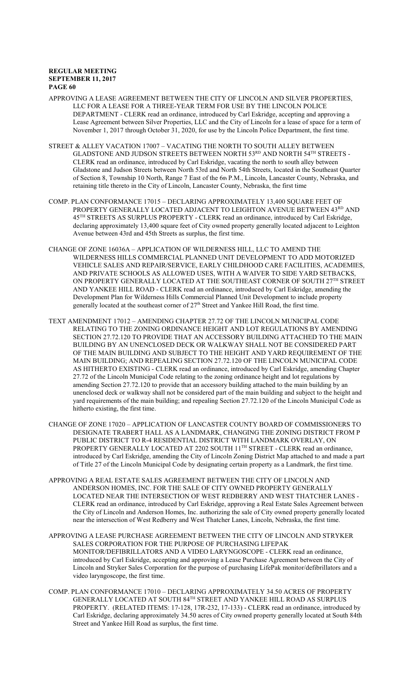- APPROVING A LEASE AGREEMENT BETWEEN THE CITY OF LINCOLN AND SILVER PROPERTIES, LLC FOR A LEASE FOR A THREE-YEAR TERM FOR USE BY THE LINCOLN POLICE DEPARTMENT - CLERK read an ordinance, introduced by Carl Eskridge, accepting and approving a Lease Agreement between Silver Properties, LLC and the City of Lincoln for a lease of space for a term of November 1, 2017 through October 31, 2020, for use by the Lincoln Police Department, the first time.
- STREET & ALLEY VACATION 17007 VACATING THE NORTH TO SOUTH ALLEY BETWEEN GLADSTONE AND JUDSON STREETS BETWEEN NORTH 53 $^{\text{RD}}$  AND NORTH 54 $^{\text{TH}}$  STREETS -CLERK read an ordinance, introduced by Carl Eskridge, vacating the north to south alley between Gladstone and Judson Streets between North 53rd and North 54th Streets, located in the Southeast Quarter of Section 8, Township 10 North, Range 7 East of the 6th P.M., Lincoln, Lancaster County, Nebraska, and retaining title thereto in the City of Lincoln, Lancaster County, Nebraska, the first time
- COMP. PLAN CONFORMANCE 17015 DECLARING APPROXIMATELY 13,400 SQUARE FEET OF PROPERTY GENERALLY LOCATED ADJACENT TO LEIGHTON AVENUE BETWEEN 43<sup>RD</sup> AND 45 TH STREETS AS SURPLUS PROPERTY - CLERK read an ordinance, introduced by Carl Eskridge, declaring approximately 13,400 square feet of City owned property generally located adjacent to Leighton Avenue between 43rd and 45th Streets as surplus, the first time.
- CHANGE OF ZONE 16036A APPLICATION OF WILDERNESS HILL, LLC TO AMEND THE WILDERNESS HILLS COMMERCIAL PLANNED UNIT DEVELOPMENT TO ADD MOTORIZED VEHICLE SALES AND REPAIR/SERVICE, EARLY CHILDHOOD CARE FACILITIES, ACADEMIES, AND PRIVATE SCHOOLS AS ALLOWED USES, WITH A WAIVER TO SIDE YARD SETBACKS, ON PROPERTY GENERALLY LOCATED AT THE SOUTHEAST CORNER OF SOUTH  $27^{\rm TH}$  STREET AND YANKEE HILL ROAD - CLERK read an ordinance, introduced by Carl Eskridge, amending the Development Plan for Wilderness Hills Commercial Planned Unit Development to include property generally located at the southeast corner of 27<sup>th</sup> Street and Yankee Hill Road, the first time.
- TEXT AMENDMENT 17012 AMENDING CHAPTER 27.72 OF THE LINCOLN MUNICIPAL CODE RELATING TO THE ZONING ORDINANCE HEIGHT AND LOT REGULATIONS BY AMENDING SECTION 27.72.120 TO PROVIDE THAT AN ACCESSORY BUILDING ATTACHED TO THE MAIN BUILDING BY AN UNENCLOSED DECK OR WALKWAY SHALL NOT BE CONSIDERED PART OF THE MAIN BUILDING AND SUBJECT TO THE HEIGHT AND YARD REQUIREMENT OF THE MAIN BUILDING; AND REPEALING SECTION 27.72.120 OF THE LINCOLN MUNICIPAL CODE AS HITHERTO EXISTING - CLERK read an ordinance, introduced by Carl Eskridge, amending Chapter 27.72 of the Lincoln Municipal Code relating to the zoning ordinance height and lot regulations by amending Section 27.72.120 to provide that an accessory building attached to the main building by an unenclosed deck or walkway shall not be considered part of the main building and subject to the height and yard requirements of the main building; and repealing Section 27.72.120 of the Lincoln Municipal Code as hitherto existing, the first time.
- CHANGE OF ZONE 17020 APPLICATION OF LANCASTER COUNTY BOARD OF COMMISSIONERS TO DESIGNATE TRABERT HALL AS A LANDMARK, CHANGING THE ZONING DISTRICT FROM P PUBLIC DISTRICT TO R-4 RESIDENTIAL DISTRICT WITH LANDMARK OVERLAY, ON PROPERTY GENERALLY LOCATED AT 2202 SOUTH 11<sup>TH</sup> STREET - CLERK read an ordinance, introduced by Carl Eskridge, amending the City of Lincoln Zoning District Map attached to and made a part of Title 27 of the Lincoln Municipal Code by designating certain property as a Landmark, the first time.
- APPROVING A REAL ESTATE SALES AGREEMENT BETWEEN THE CITY OF LINCOLN AND ANDERSON HOMES, INC. FOR THE SALE OF CITY OWNED PROPERTY GENERALLY LOCATED NEAR THE INTERSECTION OF WEST REDBERRY AND WEST THATCHER LANES - CLERK read an ordinance, introduced by Carl Eskridge, approving a Real Estate Sales Agreement between the City of Lincoln and Anderson Homes, Inc. authorizing the sale of City owned property generally located near the intersection of West Redberry and West Thatcher Lanes, Lincoln, Nebraska, the first time.
- APPROVING A LEASE PURCHASE AGREEMENT BETWEEN THE CITY OF LINCOLN AND STRYKER SALES CORPORATION FOR THE PURPOSE OF PURCHASING LIFEPAK MONITOR/DEFIBRILLATORS AND A VIDEO LARYNGOSCOPE - CLERK read an ordinance, introduced by Carl Eskridge, accepting and approving a Lease Purchase Agreement between the City of Lincoln and Stryker Sales Corporation for the purpose of purchasing LifePak monitor/defibrillators and a video laryngoscope, the first time.
- COMP. PLAN CONFORMANCE 17010 DECLARING APPROXIMATELY 34.50 ACRES OF PROPERTY GENERALLY LOCATED AT SOUTH 84 TH STREET AND YANKEE HILL ROAD AS SURPLUS PROPERTY. (RELATED ITEMS: 17-128, 17R-232, 17-133) - CLERK read an ordinance, introduced by Carl Eskridge, declaring approximately 34.50 acres of City owned property generally located at South 84th Street and Yankee Hill Road as surplus, the first time.